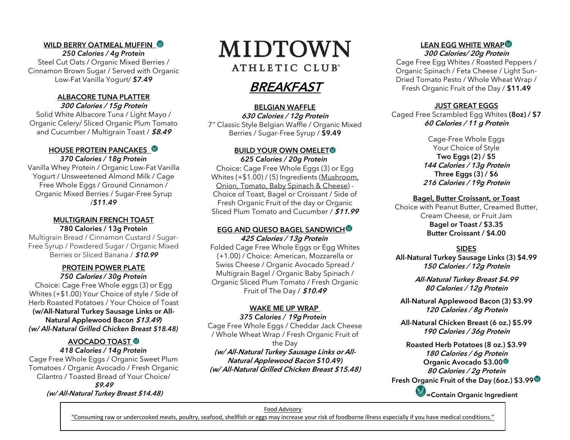#### WILD BERRY OATMEAL MUFFIN

*250 Calories / 4g Protein* Steel Cut Oats / Organic Mixed Berries / Cinnamon Brown Sugar / Served with Organic Low-Fat Vanilla Yogurt/ *\$7.49*

#### ALBACORE TUNA PLATTER 300 Calories / 15g Protein

Solid White Albacore Tuna / Light Mayo / Organic Celery/ Sliced Organic Plum Tomato and Cucumber / Multigrain Toast / \$8.49

#### HOUSE PROTEIN PANCAKES *370 Calories / 18g Protein*

Vanilla Whey Protein / Organic Low-Fat Vanilla Yogurt / Unsweetened Almond Milk / Cage Free Whole Eggs / Ground Cinnamon / Organic Mixed Berries / Sugar-Free Syrup /*\$11.49*

#### MULTIGRAIN FRENCH TOAST 780 Calories / 13g Protein

Multigrain Bread / Cinnamon Custard / Sugar-Free Syrup / Powdered Sugar / Organic Mixed Berries or Sliced Banana / \$10.99

#### PROTEIN POWER PLATE *750* Calories */ 30g Protein*

Choice: Cage Free Whole eggs (3) or Egg Whites (+\$1.00) Your Choice of style / Side of Herb Roasted Potatoes / Your Choice of Toast **(w/All-Natural Turkey Sausage Links or All-Natural Applewood Bacon** \$13.49*) (w/ All-Natural Grilled Chicken Breast \$18.48)*

#### AVOCADO TOAST

*418 Calories / 14g Protein* Cage Free Whole Eggs / Organic Sweet Plum Tomatoes / Organic Avocado / Fresh Organic Cilantro / Toasted Bread of Your Choice/ \$9.49 (w/ All-Natural Turkey Breast \$14.48)

## MIDTOWN ATHLETIC CLUB<sup>®</sup>

### **BREAKFAST**

#### BELGIAN WAFFLE

630 Calories / 12g Protein 7'' Classic Style Belgian Waffle / Organic Mixed Berries / Sugar-Free Syrup / \$9.49

#### BUILD YOUR OWN OMELET *625 Calories / 20g Protein*

Choice: Cage Free Whole Eggs (3) or Egg Whites (+\$1.00) / (5) Ingredients (Mushroom, Onion, Tomato, Baby Spinach & Cheese) - Choice of Toast, Bagel or Croissant / Side of Fresh Organic Fruit of the day or Organic Sliced Plum Tomato and Cucumber / \$11.99

#### EGG AND QUESO BAGEL SANDWICH 425 Calories / 13g Protein

Folded Cage Free Whole Eggs or Egg Whites (+1.00) / Choice: American, Mozzarella or Swiss Cheese / Organic Avocado Spread / Multigrain Bagel / Organic Baby Spinach / Organic Sliced Plum Tomato / Fresh Organic Fruit of The Day / \$10.49

#### WAKE ME UP WRAP

*375 Calories /* 19g *Protein* Cage Free Whole Eggs / Cheddar Jack Cheese / Whole Wheat Wrap / Fresh Organic Fruit of the Day

(w/ All-Natural Turkey Sausage Links or All-Natural Applewood Bacon *\$10.49)* (w/ All-Natural Grilled Chicken Breast \$15.48)

#### LEAN EGG WHITE WRAP<sup>®</sup>

300 Calories/ 20g Protein

Cage Free Egg Whites / Roasted Peppers / Organic Spinach / Feta Cheese / Light Sun-Dried Tomato Pesto / Whole Wheat Wrap / Fresh Organic Fruit of the Day / **\$11.49**

#### JUST GREAT EGGS

Caged Free Scrambled Egg Whites (8oz) / \$7 60 Calories / 11 g Protein

> Cage-Free Whole Eggs Your Choice of Style Two Eggs (2) / \$5 144 Calories / 13g Protein Three Eggs (3) / \$6 216 Calories / 19g Protein

#### Bagel, Butter Croissant, or Toast

Choice with Peanut Butter, Creamed Butter, Cream Cheese, or Fruit Jam Bagel or Toast / \$3.35 Butter Croissant / \$4.00

#### SIDES

All-Natural Turkey Sausage Links (3) \$4.99 150 Calories / 12g Protein

> All-Natural Turkey Breast \$4.99 80 Calories / 12g Protein

All-Natural Applewood Bacon (3) \$3.99 120 Calories / 8g Protein

All-Natural Chicken Breast (6 oz.) \$5.99 190 Calories / 36g Protein

Roasted Herb Potatoes (8 oz.) \$3.99 180 Calories / 6g Protein Organic Avocado \$3.00 80 Calories / 2g Protein Fresh Organic Fruit of the Day (6oz.) \$3.99

S = Contain Organic Ingredient

#### Food Advisory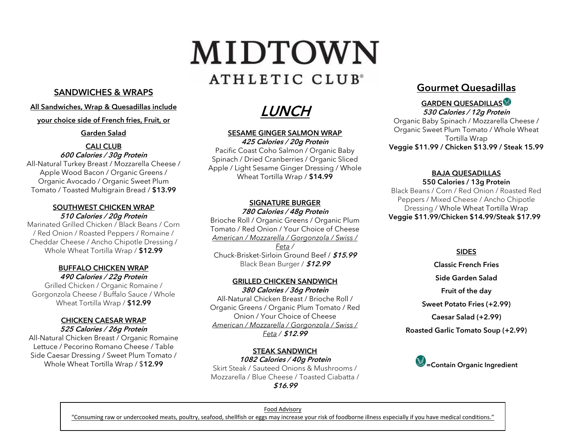## MIDTOWN ATHLETIC CLUB<sup>®</sup>

#### SANDWICHES & WRAPS

#### All Sandwiches, Wrap & Quesadillas include

#### your choice side of French fries, Fruit, or

Garden Salad

#### CALI CLUB 600 Calories / 30g Protein

All-Natural Turkey Breast / Mozzarella Cheese / Apple Wood Bacon / Organic Greens / Organic Avocado / Organic Sweet Plum Tomato / Toasted Multigrain Bread / \$13.99

#### SOUTHWEST CHICKEN WRAP 510 Calories / 20g Protein

Marinated Grilled Chicken / Black Beans / Corn / Red Onion / Roasted Peppers / Romaine / Cheddar Cheese / Ancho Chipotle Dressing / Whole Wheat Tortilla Wrap / \$12.99

#### BUFFALO CHICKEN WRAP 490 Calories / 22g Protein

Grilled Chicken / Organic Romaine / Gorgonzola Cheese / Buffalo Sauce / Whole Wheat Tortilla Wrap / \$12.99

#### CHICKEN CAESAR WRAP 525 Calories / 26g Protein

All-Natural Chicken Breast / Organic Romaine Lettuce / Pecorino Romano Cheese / Table Side Caesar Dressing / Sweet Plum Tomato / Whole Wheat Tortilla Wrap / \$**12.99**

LUNCH

#### SESAME GINGER SALMON WRAP

425 Calories / 20g Protein Pacific Coast Coho Salmon / Organic Baby Spinach / Dried Cranberries / Organic Sliced Apple / Light Sesame Ginger Dressing / Whole Wheat Tortilla Wrap / \$14.99

#### SIGNATURE BURGER

780 Calories / 48g Protein

Brioche Roll / Organic Greens / Organic Plum Tomato / Red Onion / Your Choice of Cheese *American / Mozzarella / Gorgonzola / Swiss / Feta /*  Chuck-Brisket-Sirloin Ground Beef / \$15.99 Black Bean Burger / \$12.99

#### GRILLED CHICKEN SANDWICH

380 Calories / 36g Protein All-Natural Chicken Breast / Brioche Roll / Organic Greens / Organic Plum Tomato / Red Onion / Your Choice of Cheese *American / Mozzarella / Gorgonzola / Swiss / Feta /* \$12.99

STEAK SANDWICH 1082 Calories / 40g Protein Skirt Steak / Sauteed Onions & Mushrooms / Mozzarella / Blue Cheese / Toasted Ciabatta /

\$16.99

#### Gourmet Quesadillas

#### GARDEN QUESADILLAS 530 Calories / 12g Protein

Organic Baby Spinach / Mozzarella Cheese / Organic Sweet Plum Tomato / Whole Wheat Tortilla Wrap Veggie \$11.99 / Chicken \$13.99 / Steak 15.99

#### BAJA QUESADILLAS

550 Calories / 13g Protein Black Beans / Corn / Red Onion / Roasted Red Peppers / Mixed Cheese / Ancho Chipotle Dressing / Whole Wheat Tortilla Wrap Veggie \$11.99/Chicken \$14.99/Steak \$17.99

#### SIDES

- Classic French Fries
- Side Garden Salad

Fruit of the day

Sweet Potato Fries (+2.99)

Caesar Salad (+2.99)

Roasted Garlic Tomato Soup (+2.99)



#### Food Advisory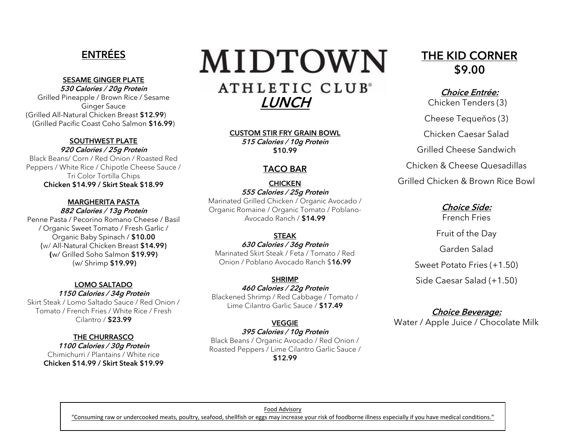#### ENTRÉES

#### SESAME GINGER PLATE

530 Calories / 20g Protein Grilled Pineapple / Brown Rice / Sesame Ginger Sauce (Grilled All-Natural Chicken Breast \$12.99) (Grilled Pacific Coast Coho Salmon \$16.99)

#### SOUTHWEST PLATE

920 Calories / 25g Protein

Black Beans/ Corn / Red Onion / Roasted Red Peppers / White Rice / Chipotle Cheese Sauce / Tri Color Tortilla Chips Chicken \$14.99 / Skirt Steak \$18.99

#### MARGHERITA PASTA 882 Calories / 13g Protein

Penne Pasta / Pecorino Romano Cheese / Basil / Organic Sweet Tomato / Fresh Garlic / Organic Baby Spinach / \$10.00 (w/ All-Natural Chicken Breast **\$14.99**) **(**w/ Grilled Soho Salmon \$19.99) (w/ Shrimp **\$19.99)**

#### LOMO SALTADO

1150 Calories / 34g Protein Skirt Steak / Lomo Saltado Sauce / Red Onion / Tomato / French Fries / White Rice / Fresh Cilantro / \$23.99

#### THE CHURRASCO

1100 Calories / 30g Protein Chimichurri / Plantains / White rice Chicken \$14.99 / Skirt Steak \$19.99

# MIDTOWN

ATHLETIC CLUB<sup>®</sup> LUNCH

CUSTOM STIR FRY GRAIN BOWL 515 Calories / 10g Protein \$10.99

#### TACO BAR

**CHICKEN** 555 Calories / 25g Protein Marinated Grilled Chicken / Organic Avocado / Organic Romaine / Organic Tomato / Poblano-Avocado Ranch / \$14.99

#### STEAK

630 Calories / 36g Protein Marinated Skirt Steak / Feta / Tomato / Red Onion / Poblano Avocado Ranch \$16.99

#### SHRIMP

460 Calories / 22g Protein

Blackened Shrimp / Red Cabbage / Tomato / Lime Cilantro Garlic Sauce / \$17.49

VEGGIE 395 Calories / 10g Protein Black Beans / Organic Avocado / Red Onion / Roasted Peppers / Lime Cilantro Garlic Sauce / \$12.99

#### THE KID CORNER \$9.00

#### Choice Entrée:

Chicken Tenders (3)

Cheese Tequeños (3)

Chicken Caesar Salad

Grilled Cheese Sandwich

Chicken & Cheese Quesadillas

Grilled Chicken & Brown Rice Bowl

Choice Side: French Fries Fruit of the Day Garden Salad Sweet Potato Fries (+1.50) Side Caesar Salad (+1.50)

#### Choice Beverage:

Water / Apple Juice / Chocolate Milk

Food Advisory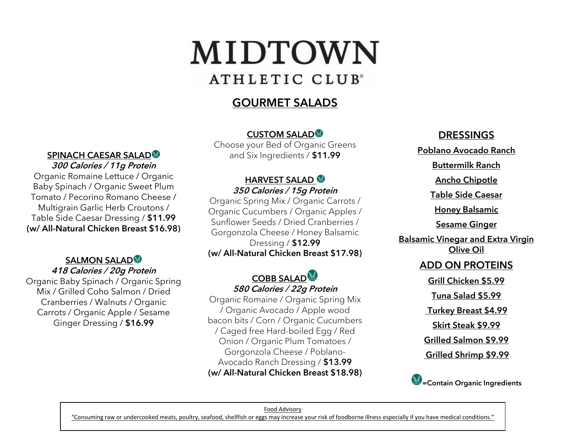## MIDTOWN ATHLETIC CLUB<sup>®</sup>

### GOURMET SALADS

#### CUSTOM SALAD

Choose your Bed of Organic Greens and Six Ingredients / \$11.99

#### HARVEST SALAD 350 Calories / 15g Protein

Organic Spring Mix / Organic Carrots / Organic Cucumbers / Organic Apples / Sunflower Seeds / Dried Cranberries / Gorgonzola Cheese / Honey Balsamic Dressing / \$12.99 (w/ All-Natural Chicken Breast \$17.98)

#### **COBB SALAD** 580 Calories / 22g Protein

Organic Romaine / Organic Spring Mix / Organic Avocado / Apple wood bacon bits / Corn / Organic Cucumbers / Caged free Hard-boiled Egg / Red Onion / Organic Plum Tomatoes / Gorgonzola Cheese / Poblano-Avocado Ranch Dressing / \$13.99 (w/ All-Natural Chicken Breast \$18.98)

#### DRESSINGS

Poblano Avocado Ranch

Buttermilk Ranch

Ancho Chipotle

Table Side Caesar

**Honey Balsamic** 

Sesame Ginger

Balsamic Vinegar and Extra Virgin Olive Oil

#### ADD ON PROTEINS

Grill Chicken \$5.99

Tuna Salad \$5.99

Turkey Breast \$4.99

Skirt Steak \$9.99

Grilled Salmon \$9.99

Grilled Shrimp \$9.99



#### Food Advisory

"Consuming raw or undercooked meats, poultry, seafood, shellfish or eggs may increase your risk of foodborne illness especially if you have medical conditions."

#### SPINACH CAESAR SALAD<sup>®</sup> 300 Calories / 11g Protein

Organic Romaine Lettuce / Organic Baby Spinach / Organic Sweet Plum Tomato / Pecorino Romano Cheese / Multigrain Garlic Herb Croutons / Table Side Caesar Dressing / \$11.99 (w/ All-Natural Chicken Breast \$16.98)

#### SALMON SALAD<sup>®</sup>

#### 418 Calories / 20g Protein

Organic Baby Spinach / Organic Spring Mix / Grilled Coho Salmon / Dried Cranberries / Walnuts / Organic Carrots / Organic Apple / Sesame Ginger Dressing / \$16.99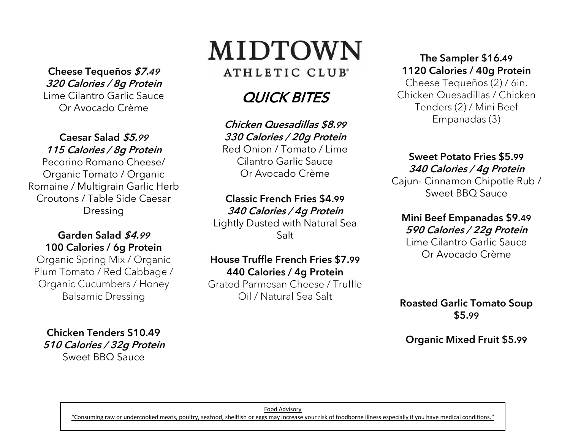Cheese Tequeños \$7.<sup>49</sup> 320 Calories / 8g Protein Lime Cilantro Garlic Sauce Or Avocado Crème

#### Caesar Salad \$5.<sup>99</sup> 115 Calories / 8g Protein

Pecorino Romano Cheese/ Organic Tomato / Organic Romaine / Multigrain Garlic Herb Croutons / Table Side Caesar Dressing

#### Garden Salad \$4.<sup>99</sup> 100 Calories / 6g Protein

Organic Spring Mix / Organic Plum Tomato / Red Cabbage / Organic Cucumbers / Honey Balsamic Dressing

Chicken Tenders \$10.49 510 Calories / 32g Protein Sweet BBQ Sauce

## MIDTOWN ATHLETIC CLUB<sup>®</sup>

## QUICK BITES

Chicken Quesadillas \$8.99 330 Calories / 20g Protein Red Onion / Tomato / Lime Cilantro Garlic Sauce Or Avocado Crème

#### Classic French Fries \$4.99

340 Calories / 4g Protein Lightly Dusted with Natural Sea Salt

#### House Truffle French Fries \$7.99 440 Calories / 4g Protein

Grated Parmesan Cheese / Truffle Oil / Natural Sea Salt

#### The Sampler \$16.49 1120 Calories / 40g Protein

Cheese Tequeños (2) / 6in. Chicken Quesadillas / Chicken Tenders (2) / Mini Beef Empanadas (3)

#### Sweet Potato Fries \$5.99 340 Calories / 4g Protein

Cajun- Cinnamon Chipotle Rub / Sweet BBQ Sauce

## Mini Beef Empanadas \$9.49

590 Calories / 22g Protein

Lime Cilantro Garlic Sauce Or Avocado Crème

Roasted Garlic Tomato Soup \$5.99

Organic Mixed Fruit \$5.99

Food Advisory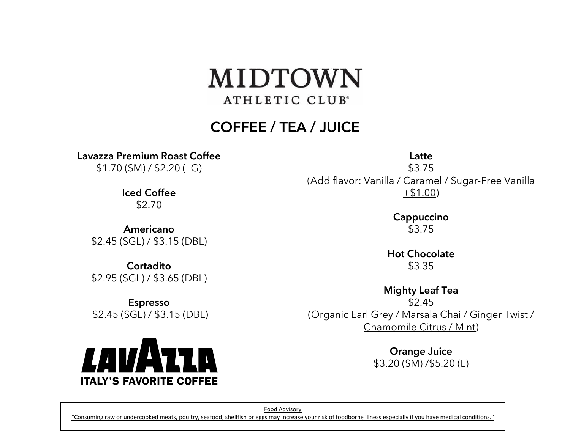## MIDTOWN ATHLETIC CLUB<sup>®</sup>

## COFFEE / TEA / JUICE

Lavazza Premium Roast Coffee

\$1.70 (SM) / \$2.20 (LG)

Iced Coffee \$2.70

Americano \$2.45 (SGL) / \$3.15 (DBL)

**Cortadito** \$2.95 (SGL) / \$3.65 (DBL)

Espresso \$2.45 (SGL) / \$3.15 (DBL)



\$3.75 (Add flavor: Vanilla / Caramel / Sugar-Free Vanilla +\$1.00)

Latte

Cappuccino \$3.75

Hot Chocolate \$3.35

Mighty Leaf Tea \$2.45 (Organic Earl Grey / Marsala Chai / Ginger Twist / Chamomile Citrus / Mint)

> Orange Juice \$3.20 (SM) /\$5.20 (L)

Food Advisory